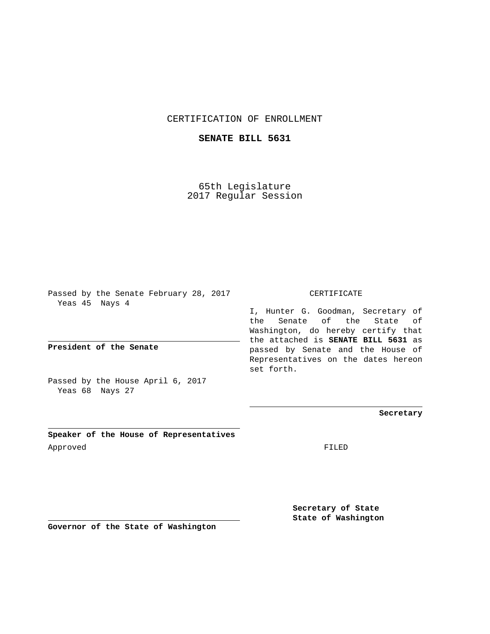## CERTIFICATION OF ENROLLMENT

## **SENATE BILL 5631**

65th Legislature 2017 Regular Session

Passed by the Senate February 28, 2017 Yeas 45 Nays 4

**President of the Senate**

Passed by the House April 6, 2017 Yeas 68 Nays 27

**Speaker of the House of Representatives** Approved FILED

CERTIFICATE

I, Hunter G. Goodman, Secretary of the Senate of the State of Washington, do hereby certify that the attached is **SENATE BILL 5631** as passed by Senate and the House of Representatives on the dates hereon set forth.

**Secretary**

**Secretary of State State of Washington**

**Governor of the State of Washington**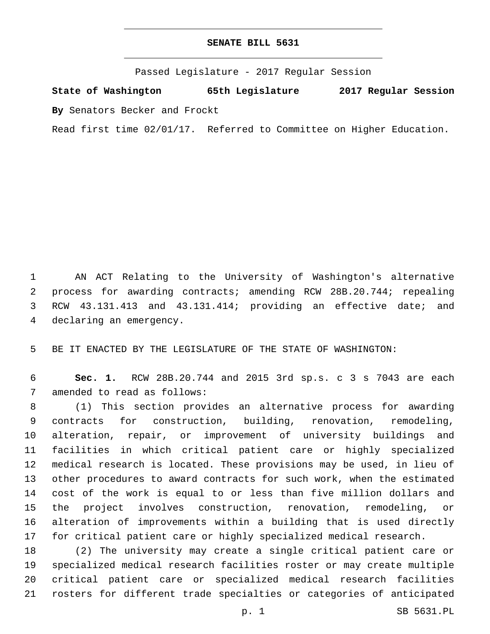## **SENATE BILL 5631**

Passed Legislature - 2017 Regular Session

**State of Washington 65th Legislature 2017 Regular Session By** Senators Becker and Frockt

Read first time 02/01/17. Referred to Committee on Higher Education.

 AN ACT Relating to the University of Washington's alternative process for awarding contracts; amending RCW 28B.20.744; repealing RCW 43.131.413 and 43.131.414; providing an effective date; and 4 declaring an emergency.

BE IT ENACTED BY THE LEGISLATURE OF THE STATE OF WASHINGTON:

 **Sec. 1.** RCW 28B.20.744 and 2015 3rd sp.s. c 3 s 7043 are each 7 amended to read as follows:

 (1) This section provides an alternative process for awarding contracts for construction, building, renovation, remodeling, alteration, repair, or improvement of university buildings and facilities in which critical patient care or highly specialized medical research is located. These provisions may be used, in lieu of other procedures to award contracts for such work, when the estimated cost of the work is equal to or less than five million dollars and the project involves construction, renovation, remodeling, or alteration of improvements within a building that is used directly for critical patient care or highly specialized medical research.

 (2) The university may create a single critical patient care or specialized medical research facilities roster or may create multiple critical patient care or specialized medical research facilities rosters for different trade specialties or categories of anticipated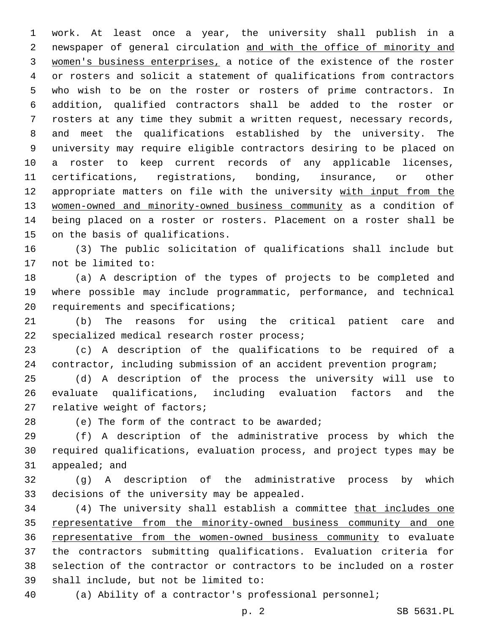work. At least once a year, the university shall publish in a newspaper of general circulation and with the office of minority and women's business enterprises, a notice of the existence of the roster or rosters and solicit a statement of qualifications from contractors who wish to be on the roster or rosters of prime contractors. In addition, qualified contractors shall be added to the roster or rosters at any time they submit a written request, necessary records, and meet the qualifications established by the university. The university may require eligible contractors desiring to be placed on a roster to keep current records of any applicable licenses, certifications, registrations, bonding, insurance, or other 12 appropriate matters on file with the university with input from the women-owned and minority-owned business community as a condition of being placed on a roster or rosters. Placement on a roster shall be 15 on the basis of qualifications.

 (3) The public solicitation of qualifications shall include but 17 not be limited to:

 (a) A description of the types of projects to be completed and where possible may include programmatic, performance, and technical 20 requirements and specifications;

 (b) The reasons for using the critical patient care and 22 specialized medical research roster process;

 (c) A description of the qualifications to be required of a contractor, including submission of an accident prevention program;

 (d) A description of the process the university will use to evaluate qualifications, including evaluation factors and the 27 relative weight of factors;

28 (e) The form of the contract to be awarded;

 (f) A description of the administrative process by which the required qualifications, evaluation process, and project types may be appealed; and

 (g) A description of the administrative process by which 33 decisions of the university may be appealed.

 (4) The university shall establish a committee that includes one representative from the minority-owned business community and one representative from the women-owned business community to evaluate the contractors submitting qualifications. Evaluation criteria for selection of the contractor or contractors to be included on a roster 39 shall include, but not be limited to:

(a) Ability of a contractor's professional personnel;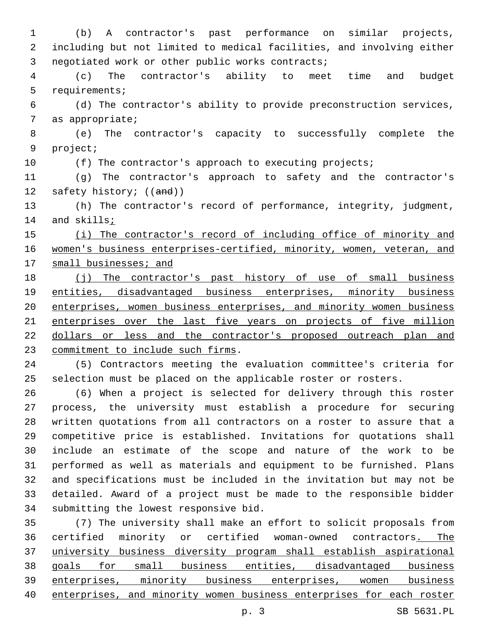(b) A contractor's past performance on similar projects, including but not limited to medical facilities, and involving either 3 negotiated work or other public works contracts;

 (c) The contractor's ability to meet time and budget 5 requirements;

 (d) The contractor's ability to provide preconstruction services, 7 as appropriate;

 (e) The contractor's capacity to successfully complete the 9 project;

10 (f) The contractor's approach to executing projects;

 (g) The contractor's approach to safety and the contractor's 12 safety history; ((and))

 (h) The contractor's record of performance, integrity, judgment, 14 and skills;

 (i) The contractor's record of including office of minority and women's business enterprises-certified, minority, women, veteran, and 17 small businesses; and

 (j) The contractor's past history of use of small business entities, disadvantaged business enterprises, minority business enterprises, women business enterprises, and minority women business enterprises over the last five years on projects of five million dollars or less and the contractor's proposed outreach plan and 23 commitment to include such firms.

 (5) Contractors meeting the evaluation committee's criteria for 25 selection must be placed on the applicable roster or rosters.

 (6) When a project is selected for delivery through this roster process, the university must establish a procedure for securing written quotations from all contractors on a roster to assure that a competitive price is established. Invitations for quotations shall include an estimate of the scope and nature of the work to be performed as well as materials and equipment to be furnished. Plans and specifications must be included in the invitation but may not be detailed. Award of a project must be made to the responsible bidder 34 submitting the lowest responsive bid.

 (7) The university shall make an effort to solicit proposals from certified minority or certified woman-owned contractors. The university business diversity program shall establish aspirational goals for small business entities, disadvantaged business enterprises, minority business enterprises, women business enterprises, and minority women business enterprises for each roster